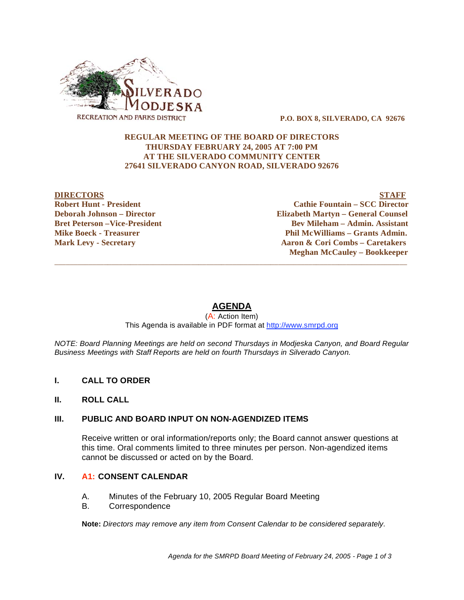

 **P.O. BOX 8, SILVERADO, CA 92676** 

#### **REGULAR MEETING OF THE BOARD OF DIRECTORS THURSDAY FEBRUARY 24, 2005 AT 7:00 PM AT THE SILVERADO COMMUNITY CENTER 27641 SILVERADO CANYON ROAD, SILVERADO 92676**

#### **DIRECTORS STAFF Robert Hunt - President Cathie Fountain – SCC Director Deborah Johnson – Director Elizabeth Martyn – General Counsel Bret Peterson –Vice-President 2008 Constraint Rev Mileham – Admin. Assistant Mike Boeck - Treasurer**  The Phil McWilliams – Grants Admin. **Mark Levy - Secretary 2.1 Aaron & Cori Combs – Caretakers Meghan McCauley – Bookkeeper**

# **AGENDA**

 $\overline{\phantom{a}}$  ,  $\overline{\phantom{a}}$  ,  $\overline{\phantom{a}}$  ,  $\overline{\phantom{a}}$  ,  $\overline{\phantom{a}}$  ,  $\overline{\phantom{a}}$  ,  $\overline{\phantom{a}}$  ,  $\overline{\phantom{a}}$  ,  $\overline{\phantom{a}}$  ,  $\overline{\phantom{a}}$  ,  $\overline{\phantom{a}}$  ,  $\overline{\phantom{a}}$  ,  $\overline{\phantom{a}}$  ,  $\overline{\phantom{a}}$  ,  $\overline{\phantom{a}}$  ,  $\overline{\phantom{a}}$ 

#### (A: Action Item) This Agenda is available in PDF format at http://www.smrpd.org

*NOTE: Board Planning Meetings are held on second Thursdays in Modjeska Canyon, and Board Regular Business Meetings with Staff Reports are held on fourth Thursdays in Silverado Canyon.* 

- **I. CALL TO ORDER**
- **II. ROLL CALL**

## **III. PUBLIC AND BOARD INPUT ON NON-AGENDIZED ITEMS**

Receive written or oral information/reports only; the Board cannot answer questions at this time. Oral comments limited to three minutes per person. Non-agendized items cannot be discussed or acted on by the Board.

#### **IV. A1: CONSENT CALENDAR**

- A. Minutes of the February 10, 2005 Regular Board Meeting
- B. Correspondence

**Note:** *Directors may remove any item from Consent Calendar to be considered separately.*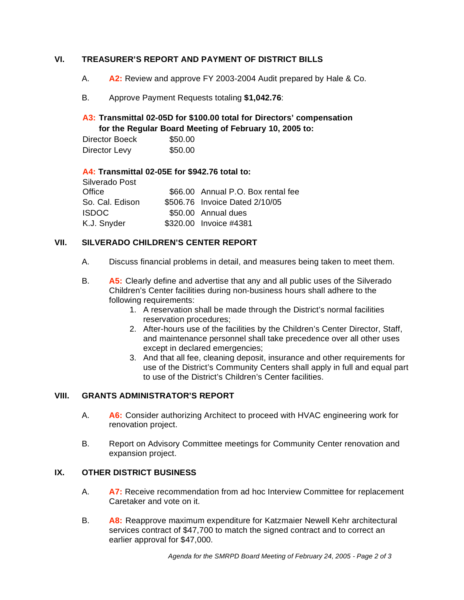## **VI. TREASURER'S REPORT AND PAYMENT OF DISTRICT BILLS**

- A. **A2:** Review and approve FY 2003-2004 Audit prepared by Hale & Co.
- B. Approve Payment Requests totaling **\$1,042.76**:

## **A3: Transmittal 02-05D for \$100.00 total for Directors' compensation for the Regular Board Meeting of February 10, 2005 to:**

Director Boeck \$50.00 Director Levy \$50.00

#### **A4: Transmittal 02-05E for \$942.76 total to:**

| Silverado Post  |                                    |
|-----------------|------------------------------------|
| Office          | \$66.00 Annual P.O. Box rental fee |
| So. Cal. Edison | \$506.76 Invoice Dated 2/10/05     |
| <b>ISDOC</b>    | \$50.00 Annual dues                |
| K.J. Snyder     | \$320.00 Invoice #4381             |

## **VII. SILVERADO CHILDREN'S CENTER REPORT**

- A. Discuss financial problems in detail, and measures being taken to meet them.
- B. **A5:** Clearly define and advertise that any and all public uses of the Silverado Children's Center facilities during non-business hours shall adhere to the following requirements:
	- 1. A reservation shall be made through the District's normal facilities reservation procedures;
	- 2. After-hours use of the facilities by the Children's Center Director, Staff, and maintenance personnel shall take precedence over all other uses except in declared emergencies;
	- 3. And that all fee, cleaning deposit, insurance and other requirements for use of the District's Community Centers shall apply in full and equal part to use of the District's Children's Center facilities.

## **VIII. GRANTS ADMINISTRATOR'S REPORT**

- A. **A6:** Consider authorizing Architect to proceed with HVAC engineering work for renovation project.
- B. Report on Advisory Committee meetings for Community Center renovation and expansion project.

## **IX. OTHER DISTRICT BUSINESS**

- A. **A7:** Receive recommendation from ad hoc Interview Committee for replacement Caretaker and vote on it.
- B. **A8:** Reapprove maximum expenditure for Katzmaier Newell Kehr architectural services contract of \$47,700 to match the signed contract and to correct an earlier approval for \$47,000.